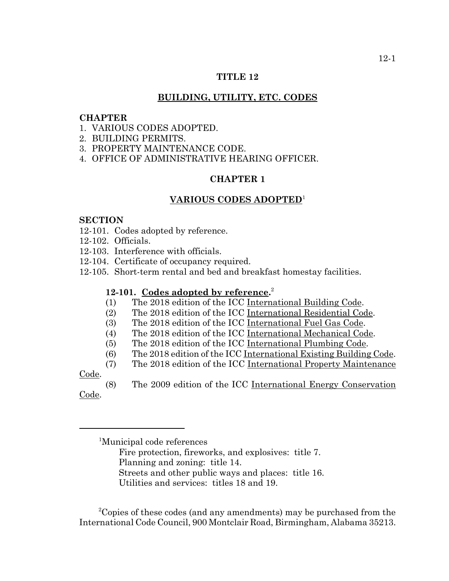## **TITLE 12**

## **BUILDING, UTILITY, ETC. CODES**

#### **CHAPTER**

- 1. VARIOUS CODES ADOPTED.
- 2. BUILDING PERMITS.
- 3. PROPERTY MAINTENANCE CODE.
- 4. OFFICE OF ADMINISTRATIVE HEARING OFFICER.

# **CHAPTER 1**

## **VARIOUS CODES ADOPTED**<sup>1</sup>

#### **SECTION**

- 12-101. Codes adopted by reference.
- 12-102. Officials.
- 12-103. Interference with officials.
- 12-104. Certificate of occupancy required.
- 12-105. Short-term rental and bed and breakfast homestay facilities.

# **12-101. Codes adopted by reference.** 2

- (1) The 2018 edition of the ICC International Building Code.
- (2) The 2018 edition of the ICC International Residential Code.
- (3) The 2018 edition of the ICC International Fuel Gas Code.
- (4) The 2018 edition of the ICC International Mechanical Code.
- (5) The 2018 edition of the ICC International Plumbing Code.
- (6) The 2018 edition of the ICC International Existing Building Code.
- (7) The 2018 edition of the ICC International Property Maintenance

Code.

(8) The 2009 edition of the ICC International Energy Conservation Code.

<sup>1</sup> Municipal code references

- Fire protection, fireworks, and explosives: title 7.
- Planning and zoning: title 14.
- Streets and other public ways and places: title 16.

Utilities and services: titles 18 and 19.

 <sup>2</sup> Copies of these codes (and any amendments) may be purchased from the International Code Council, 900 Montclair Road, Birmingham, Alabama 35213.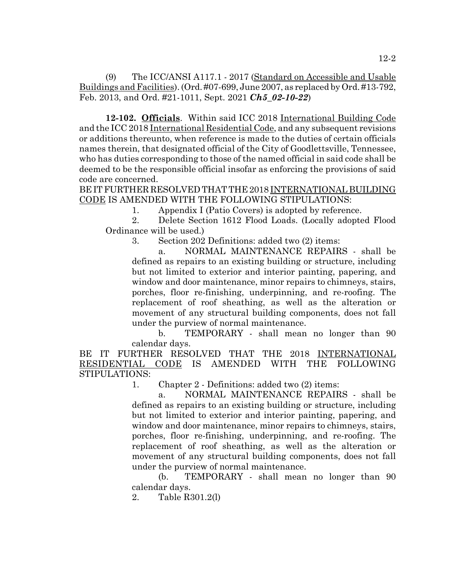(9) The ICC/ANSI A117.1 - 2017 (Standard on Accessible and Usable Buildings and Facilities). (Ord. #07-699, June 2007, as replaced by Ord. #13-792, Feb. 2013, and Ord. #21-1011, Sept. 2021 *Ch5\_02-10-22*)

**12-102. Officials**. Within said ICC 2018 International Building Code and the ICC 2018 International Residential Code, and any subsequent revisions or additions thereunto, when reference is made to the duties of certain officials names therein, that designated official of the City of Goodlettsville, Tennessee, who has duties corresponding to those of the named official in said code shall be deemed to be the responsible official insofar as enforcing the provisions of said code are concerned.

BE IT FURTHER RESOLVED THAT THE 2018 INTERNATIONAL BUILDING CODE IS AMENDED WITH THE FOLLOWING STIPULATIONS:

1. Appendix I (Patio Covers) is adopted by reference.

2. Delete Section 1612 Flood Loads. (Locally adopted Flood Ordinance will be used.)

3. Section 202 Definitions: added two (2) items:

a. NORMAL MAINTENANCE REPAIRS - shall be defined as repairs to an existing building or structure, including but not limited to exterior and interior painting, papering, and window and door maintenance, minor repairs to chimneys, stairs, porches, floor re-finishing, underpinning, and re-roofing. The replacement of roof sheathing, as well as the alteration or movement of any structural building components, does not fall under the purview of normal maintenance.

b. TEMPORARY - shall mean no longer than 90 calendar days.

BE IT FURTHER RESOLVED THAT THE 2018 INTERNATIONAL RESIDENTIAL CODE IS AMENDED WITH THE FOLLOWING STIPULATIONS:

1. Chapter 2 - Definitions: added two (2) items:

a. NORMAL MAINTENANCE REPAIRS - shall be defined as repairs to an existing building or structure, including but not limited to exterior and interior painting, papering, and window and door maintenance, minor repairs to chimneys, stairs, porches, floor re-finishing, underpinning, and re-roofing. The replacement of roof sheathing, as well as the alteration or movement of any structural building components, does not fall under the purview of normal maintenance.

(b. TEMPORARY - shall mean no longer than 90 calendar days.

2. Table R301.2(l)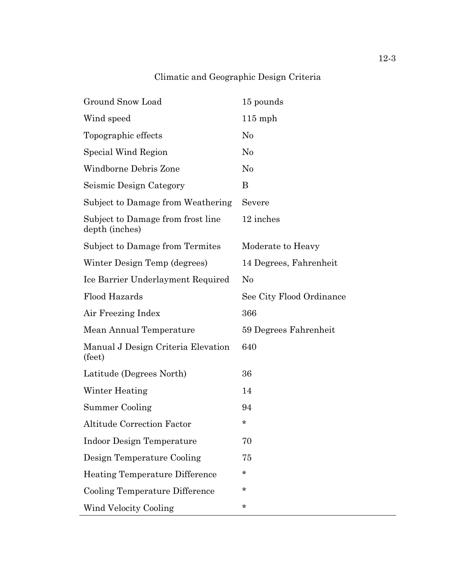# Climatic and Geographic Design Criteria

| Ground Snow Load                                    | 15 pounds                |
|-----------------------------------------------------|--------------------------|
| Wind speed                                          | $115$ mph                |
| Topographic effects                                 | $\rm No$                 |
| Special Wind Region                                 | $\rm No$                 |
| Windborne Debris Zone                               | $\rm No$                 |
| Seismic Design Category                             | B                        |
| Subject to Damage from Weathering                   | Severe                   |
| Subject to Damage from frost line<br>depth (inches) | 12 inches                |
| Subject to Damage from Termites                     | Moderate to Heavy        |
| Winter Design Temp (degrees)                        | 14 Degrees, Fahrenheit   |
| Ice Barrier Underlayment Required                   | $\rm No$                 |
| Flood Hazards                                       | See City Flood Ordinance |
| Air Freezing Index                                  | 366                      |
| Mean Annual Temperature                             | 59 Degrees Fahrenheit    |
| Manual J Design Criteria Elevation<br>(feet)        | 640                      |
| Latitude (Degrees North)                            | 36                       |
| Winter Heating                                      | 14                       |
| Summer Cooling                                      | 94                       |
| <b>Altitude Correction Factor</b>                   | *                        |
| <b>Indoor Design Temperature</b>                    | 70                       |
| Design Temperature Cooling                          | 75                       |
| <b>Heating Temperature Difference</b>               | $^\star$                 |
| Cooling Temperature Difference                      | *                        |
| Wind Velocity Cooling                               | $^\star$                 |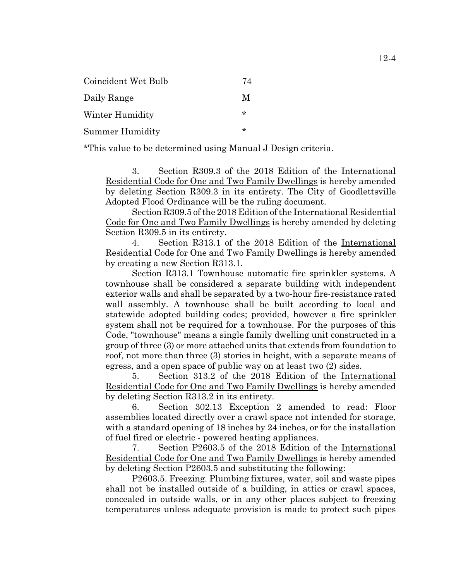| Coincident Wet Bulb    | 74 |
|------------------------|----|
| Daily Range            | M  |
| Winter Humidity        | ÷  |
| <b>Summer Humidity</b> | ÷  |

\*This value to be determined using Manual J Design criteria.

3. Section R309.3 of the 2018 Edition of the International Residential Code for One and Two Family Dwellings is hereby amended by deleting Section R309.3 in its entirety. The City of Goodlettsville Adopted Flood Ordinance will be the ruling document.

Section R309.5 of the 2018 Edition of the International Residential Code for One and Two Family Dwellings is hereby amended by deleting Section R309.5 in its entirety.

4. Section R313.1 of the 2018 Edition of the International Residential Code for One and Two Family Dwellings is hereby amended by creating a new Section R313.1.

Section R313.1 Townhouse automatic fire sprinkler systems. A townhouse shall be considered a separate building with independent exterior walls and shall be separated by a two-hour fire-resistance rated wall assembly. A townhouse shall be built according to local and statewide adopted building codes; provided, however a fire sprinkler system shall not be required for a townhouse. For the purposes of this Code, "townhouse" means a single family dwelling unit constructed in a group of three (3) or more attached units that extends from foundation to roof, not more than three (3) stories in height, with a separate means of egress, and a open space of public way on at least two (2) sides.

5. Section 313.2 of the 2018 Edition of the International Residential Code for One and Two Family Dwellings is hereby amended by deleting Section R313.2 in its entirety.

6. Section 302.13 Exception 2 amended to read: Floor assemblies located directly over a crawl space not intended for storage, with a standard opening of 18 inches by 24 inches, or for the installation of fuel fired or electric - powered heating appliances.

7. Section P2603.5 of the 2018 Edition of the International Residential Code for One and Two Family Dwellings is hereby amended by deleting Section P2603.5 and substituting the following:

P2603.5. Freezing. Plumbing fixtures, water, soil and waste pipes shall not be installed outside of a building, in attics or crawl spaces, concealed in outside walls, or in any other places subject to freezing temperatures unless adequate provision is made to protect such pipes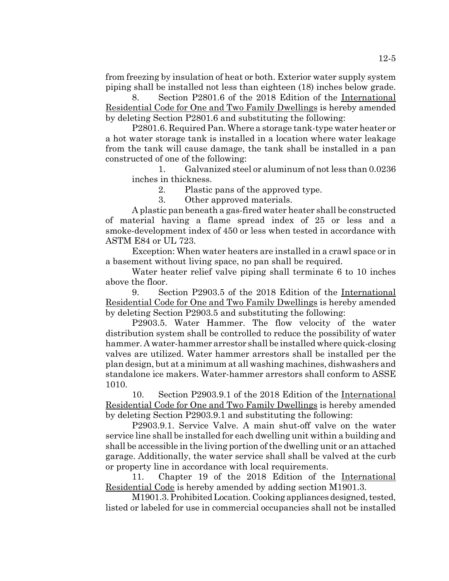from freezing by insulation of heat or both. Exterior water supply system piping shall be installed not less than eighteen (18) inches below grade.

8. Section P2801.6 of the 2018 Edition of the International Residential Code for One and Two Family Dwellings is hereby amended by deleting Section P2801.6 and substituting the following:

P2801.6. Required Pan. Where a storage tank-type water heater or a hot water storage tank is installed in a location where water leakage from the tank will cause damage, the tank shall be installed in a pan constructed of one of the following:

1. Galvanized steel or aluminum of not less than 0.0236 inches in thickness.

2. Plastic pans of the approved type.

3. Other approved materials.

A plastic pan beneath a gas-fired water heater shall be constructed of material having a flame spread index of 25 or less and a smoke-development index of 450 or less when tested in accordance with ASTM E84 or UL 723.

Exception: When water heaters are installed in a crawl space or in a basement without living space, no pan shall be required.

Water heater relief valve piping shall terminate 6 to 10 inches above the floor.

9. Section P2903.5 of the 2018 Edition of the International Residential Code for One and Two Family Dwellings is hereby amended by deleting Section P2903.5 and substituting the following:

P2903.5. Water Hammer. The flow velocity of the water distribution system shall be controlled to reduce the possibility of water hammer. A water-hammer arrestor shall be installed where quick-closing valves are utilized. Water hammer arrestors shall be installed per the plan design, but at a minimum at all washing machines, dishwashers and standalone ice makers. Water-hammer arrestors shall conform to ASSE 1010.

10. Section P2903.9.1 of the 2018 Edition of the International Residential Code for One and Two Family Dwellings is hereby amended by deleting Section P2903.9.1 and substituting the following:

P2903.9.1. Service Valve. A main shut-off valve on the water service line shall be installed for each dwelling unit within a building and shall be accessible in the living portion of the dwelling unit or an attached garage. Additionally, the water service shall shall be valved at the curb or property line in accordance with local requirements.

11. Chapter 19 of the 2018 Edition of the International Residential Code is hereby amended by adding section M1901.3.

M1901.3. Prohibited Location. Cooking appliances designed, tested, listed or labeled for use in commercial occupancies shall not be installed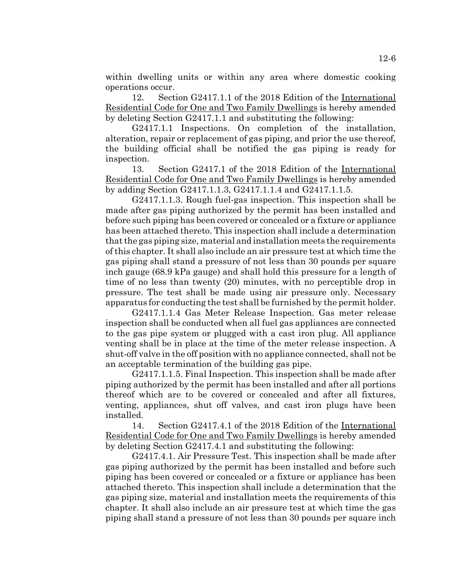within dwelling units or within any area where domestic cooking operations occur.

12. Section G2417.1.1 of the 2018 Edition of the International Residential Code for One and Two Family Dwellings is hereby amended by deleting Section G2417.1.1 and substituting the following:

G2417.1.1 Inspections. On completion of the installation, alteration, repair or replacement of gas piping, and prior the use thereof, the building official shall be notified the gas piping is ready for inspection.

13. Section G2417.1 of the 2018 Edition of the International Residential Code for One and Two Family Dwellings is hereby amended by adding Section G2417.1.1.3, G2417.1.1.4 and G2417.1.1.5.

G2417.1.1.3. Rough fuel-gas inspection. This inspection shall be made after gas piping authorized by the permit has been installed and before such piping has been covered or concealed or a fixture or appliance has been attached thereto. This inspection shall include a determination that the gas piping size, material and installation meets the requirements of this chapter. It shall also include an air pressure test at which time the gas piping shall stand a pressure of not less than 30 pounds per square inch gauge (68.9 kPa gauge) and shall hold this pressure for a length of time of no less than twenty (20) minutes, with no perceptible drop in pressure. The test shall be made using air pressure only. Necessary apparatus for conducting the test shall be furnished by the permit holder.

G2417.1.1.4 Gas Meter Release Inspection. Gas meter release inspection shall be conducted when all fuel gas appliances are connected to the gas pipe system or plugged with a cast iron plug. All appliance venting shall be in place at the time of the meter release inspection. A shut-off valve in the off position with no appliance connected, shall not be an acceptable termination of the building gas pipe.

G2417.1.1.5. Final Inspection. This inspection shall be made after piping authorized by the permit has been installed and after all portions thereof which are to be covered or concealed and after all fixtures, venting, appliances, shut off valves, and cast iron plugs have been installed.

14. Section G2417.4.1 of the 2018 Edition of the International Residential Code for One and Two Family Dwellings is hereby amended by deleting Section G2417.4.1 and substituting the following:

G2417.4.1. Air Pressure Test. This inspection shall be made after gas piping authorized by the permit has been installed and before such piping has been covered or concealed or a fixture or appliance has been attached thereto. This inspection shall include a determination that the gas piping size, material and installation meets the requirements of this chapter. It shall also include an air pressure test at which time the gas piping shall stand a pressure of not less than 30 pounds per square inch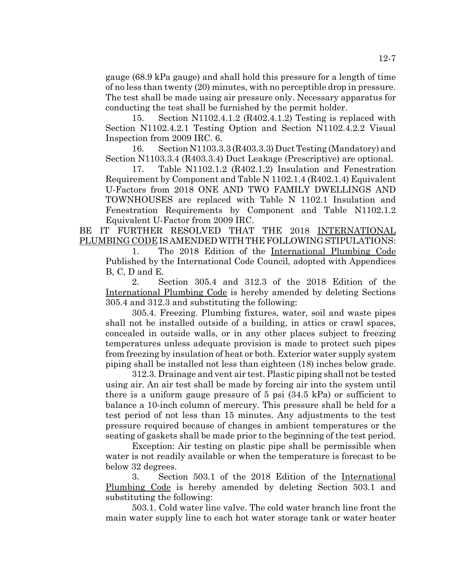gauge (68.9 kPa gauge) and shall hold this pressure for a length of time of no less than twenty (20) minutes, with no perceptible drop in pressure. The test shall be made using air pressure only. Necessary apparatus for conducting the test shall be furnished by the permit holder.

15. Section N1102.4.1.2 (R402.4.1.2) Testing is replaced with Section N1102.4.2.1 Testing Option and Section N1102.4.2.2 Visual Inspection from 2009 IRC. 6.

16. Section N1103.3.3 (R403.3.3) Duct Testing (Mandatory) and Section N1103.3.4 (R403.3.4) Duct Leakage (Prescriptive) are optional.

17. Table N1102.1.2 (R402.1.2) Insulation and Fenestration Requirement by Component and Table N 1102.1.4 (R402.1.4) Equivalent U-Factors from 2018 ONE AND TWO FAMILY DWELLINGS AND TOWNHOUSES are replaced with Table N 1102.1 Insulation and Fenestration Requirements by Component and Table N1102.1.2 Equivalent U-Factor from 2009 IRC.

BE IT FURTHER RESOLVED THAT THE 2018 INTERNATIONAL PLUMBING CODE IS AMENDED WITH THE FOLLOWING STIPULATIONS:

1. The 2018 Edition of the International Plumbing Code Published by the International Code Council, adopted with Appendices B, C, D and E.

2. Section 305.4 and 312.3 of the 2018 Edition of the International Plumbing Code is hereby amended by deleting Sections 305.4 and 312.3 and substituting the following:

305.4. Freezing. Plumbing fixtures, water, soil and waste pipes shall not be installed outside of a building, in attics or crawl spaces, concealed in outside walls, or in any other places subject to freezing temperatures unless adequate provision is made to protect such pipes from freezing by insulation of heat or both. Exterior water supply system piping shall be installed not less than eighteen (18) inches below grade.

312.3. Drainage and vent air test. Plastic piping shall not be tested using air. An air test shall be made by forcing air into the system until there is a uniform gauge pressure of 5 psi (34.5 kPa) or sufficient to balance a 10-inch column of mercury. This pressure shall be held for a test period of not less than 15 minutes. Any adjustments to the test pressure required because of changes in ambient temperatures or the seating of gaskets shall be made prior to the beginning of the test period.

Exception: Air testing on plastic pipe shall be permissible when water is not readily available or when the temperature is forecast to be below 32 degrees.

3. Section 503.1 of the 2018 Edition of the International Plumbing Code is hereby amended by deleting Section 503.1 and substituting the following:

503.1. Cold water line valve. The cold water branch line front the main water supply line to each hot water storage tank or water heater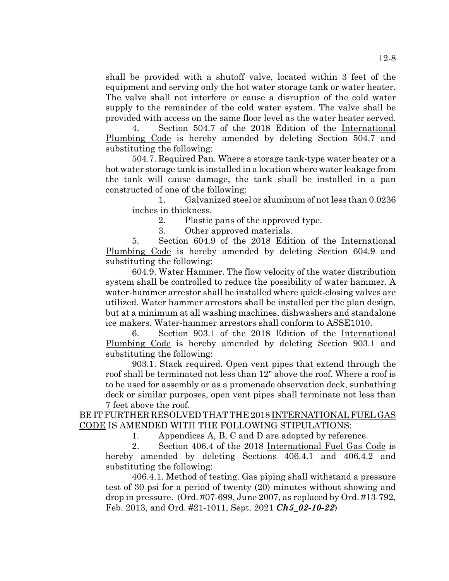shall be provided with a shutoff valve, located within 3 feet of the equipment and serving only the hot water storage tank or water heater. The valve shall not interfere or cause a disruption of the cold water supply to the remainder of the cold water system. The valve shall be provided with access on the same floor level as the water heater served.

4. Section 504.7 of the 2018 Edition of the International Plumbing Code is hereby amended by deleting Section 504.7 and substituting the following:

504.7. Required Pan. Where a storage tank-type water heater or a hot water storage tank is installed in a location where water leakage from the tank will cause damage, the tank shall be installed in a pan constructed of one of the following:

1. Galvanized steel or aluminum of not less than 0.0236 inches in thickness.

2. Plastic pans of the approved type.

3. Other approved materials.

5. Section 604.9 of the 2018 Edition of the International Plumbing Code is hereby amended by deleting Section 604.9 and substituting the following:

604.9. Water Hammer. The flow velocity of the water distribution system shall be controlled to reduce the possibility of water hammer. A water-hammer arrestor shall be installed where quick-closing valves are utilized. Water hammer arrestors shall be installed per the plan design, but at a minimum at all washing machines, dishwashers and standalone ice makers. Water-hammer arrestors shall conform to ASSE1010.

6. Section 903.1 of the 2018 Edition of the International Plumbing Code is hereby amended by deleting Section 903.1 and substituting the following:

903.1. Stack required. Open vent pipes that extend through the roof shall be terminated not less than 12" above the roof. Where a roof is to be used for assembly or as a promenade observation deck, sunbathing deck or similar purposes, open vent pipes shall terminate not less than 7 feet above the roof.

BE IT FURTHER RESOLVED THAT THE 2018 INTERNATIONAL FUEL GAS CODE IS AMENDED WITH THE FOLLOWING STIPULATIONS:

1. Appendices A, B, C and D are adopted by reference.

2. Section 406.4 of the 2018 International Fuel Gas Code is hereby amended by deleting Sections 406.4.1 and 406.4.2 and substituting the following:

406.4.1. Method of testing. Gas piping shall withstand a pressure test of 30 psi for a period of twenty (20) minutes without showing and drop in pressure. (Ord. #07-699, June 2007, as replaced by Ord. #13-792, Feb. 2013, and Ord. #21-1011, Sept. 2021 *Ch5\_02-10-22*)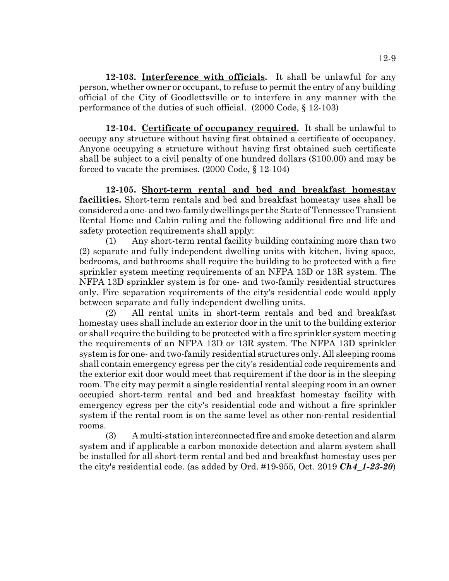**12-103. Interference with officials.** It shall be unlawful for any person, whether owner or occupant, to refuse to permit the entry of any building official of the City of Goodlettsville or to interfere in any manner with the performance of the duties of such official. (2000 Code, § 12-103)

**12-104. Certificate of occupancy required.** It shall be unlawful to occupy any structure without having first obtained a certificate of occupancy. Anyone occupying a structure without having first obtained such certificate shall be subject to a civil penalty of one hundred dollars (\$100.00) and may be forced to vacate the premises. (2000 Code, § 12-104)

**12-105. Short-term rental and bed and breakfast homestay facilities.** Short-term rentals and bed and breakfast homestay uses shall be considered a one- and two-family dwellings per the State of Tennessee Transient Rental Home and Cabin ruling and the following additional fire and life and safety protection requirements shall apply:

(1) Any short-term rental facility building containing more than two (2) separate and fully independent dwelling units with kitchen, living space, bedrooms, and bathrooms shall require the building to be protected with a fire sprinkler system meeting requirements of an NFPA 13D or 13R system. The NFPA 13D sprinkler system is for one- and two-family residential structures only. Fire separation requirements of the city's residential code would apply between separate and fully independent dwelling units.

(2) All rental units in short-term rentals and bed and breakfast homestay uses shall include an exterior door in the unit to the building exterior or shall require the building to be protected with a fire sprinkler system meeting the requirements of an NFPA 13D or 13R system. The NFPA 13D sprinkler system is for one- and two-family residential structures only. All sleeping rooms shall contain emergency egress per the city's residential code requirements and the exterior exit door would meet that requirement if the door is in the sleeping room. The city may permit a single residential rental sleeping room in an owner occupied short-term rental and bed and breakfast homestay facility with emergency egress per the city's residential code and without a fire sprinkler system if the rental room is on the same level as other non-rental residential rooms.

(3) A multi-station interconnected fire and smoke detection and alarm system and if applicable a carbon monoxide detection and alarm system shall be installed for all short-term rental and bed and breakfast homestay uses per the city's residential code. (as added by Ord. #19-955, Oct. 2019 *Ch4\_1-23-20*)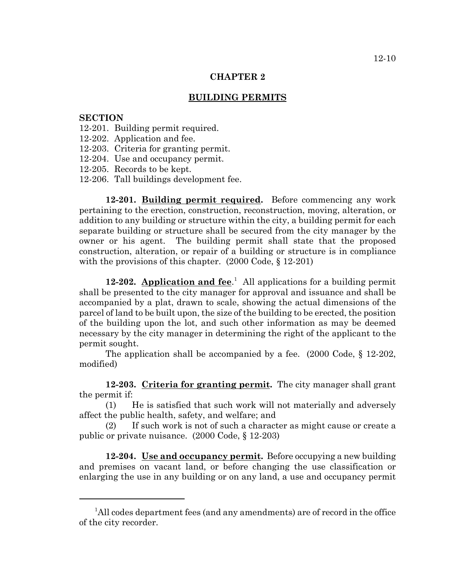#### **CHAPTER 2**

#### **BUILDING PERMITS**

#### **SECTION**

- 12-201. Building permit required.
- 12-202. Application and fee.
- 12-203. Criteria for granting permit.
- 12-204. Use and occupancy permit.
- 12-205. Records to be kept.
- 12-206. Tall buildings development fee.

**12-201. Building permit required.** Before commencing any work pertaining to the erection, construction, reconstruction, moving, alteration, or addition to any building or structure within the city, a building permit for each separate building or structure shall be secured from the city manager by the owner or his agent. The building permit shall state that the proposed construction, alteration, or repair of a building or structure is in compliance with the provisions of this chapter. (2000 Code, § 12-201)

**12-202.** Application and fee.<sup>1</sup> All applications for a building permit shall be presented to the city manager for approval and issuance and shall be accompanied by a plat, drawn to scale, showing the actual dimensions of the parcel of land to be built upon, the size of the building to be erected, the position of the building upon the lot, and such other information as may be deemed necessary by the city manager in determining the right of the applicant to the permit sought.

The application shall be accompanied by a fee.  $(2000 \text{ Code}, \xi 12-202)$ , modified)

**12-203. Criteria for granting permit.** The city manager shall grant the permit if:

(1) He is satisfied that such work will not materially and adversely affect the public health, safety, and welfare; and

(2) If such work is not of such a character as might cause or create a public or private nuisance. (2000 Code, § 12-203)

**12-204. Use and occupancy permit.** Before occupying a new building and premises on vacant land, or before changing the use classification or enlarging the use in any building or on any land, a use and occupancy permit

<sup>&</sup>lt;sup>1</sup>All codes department fees (and any amendments) are of record in the office of the city recorder.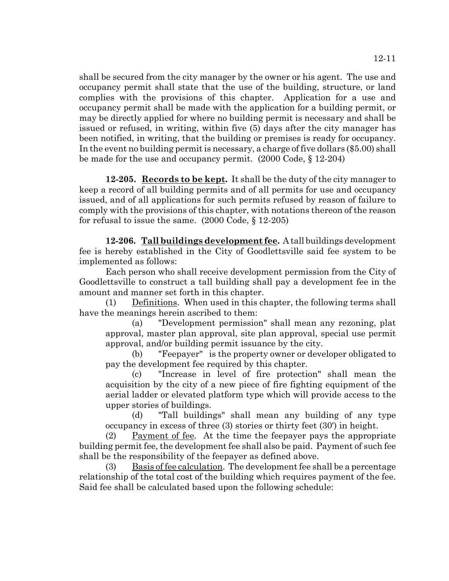shall be secured from the city manager by the owner or his agent. The use and occupancy permit shall state that the use of the building, structure, or land complies with the provisions of this chapter. Application for a use and occupancy permit shall be made with the application for a building permit, or may be directly applied for where no building permit is necessary and shall be issued or refused, in writing, within five (5) days after the city manager has been notified, in writing, that the building or premises is ready for occupancy. In the event no building permit is necessary, a charge of five dollars (\$5.00) shall be made for the use and occupancy permit. (2000 Code, § 12-204)

**12-205. Records to be kept.** It shall be the duty of the city manager to keep a record of all building permits and of all permits for use and occupancy issued, and of all applications for such permits refused by reason of failure to comply with the provisions of this chapter, with notations thereon of the reason for refusal to issue the same. (2000 Code, § 12-205)

**12-206. Tall buildings development fee.** A tall buildings development fee is hereby established in the City of Goodlettsville said fee system to be implemented as follows:

Each person who shall receive development permission from the City of Goodlettsville to construct a tall building shall pay a development fee in the amount and manner set forth in this chapter.

(1) Definitions. When used in this chapter, the following terms shall have the meanings herein ascribed to them:

(a) "Development permission" shall mean any rezoning, plat approval, master plan approval, site plan approval, special use permit approval, and/or building permit issuance by the city.

(b) "Feepayer" is the property owner or developer obligated to pay the development fee required by this chapter.

(c) "Increase in level of fire protection" shall mean the acquisition by the city of a new piece of fire fighting equipment of the aerial ladder or elevated platform type which will provide access to the upper stories of buildings.

(d) "Tall buildings" shall mean any building of any type occupancy in excess of three (3) stories or thirty feet (30') in height.

(2) Payment of fee. At the time the feepayer pays the appropriate building permit fee, the development fee shall also be paid. Payment of such fee shall be the responsibility of the feepayer as defined above.

(3) Basis of fee calculation. The development fee shall be a percentage relationship of the total cost of the building which requires payment of the fee. Said fee shall be calculated based upon the following schedule: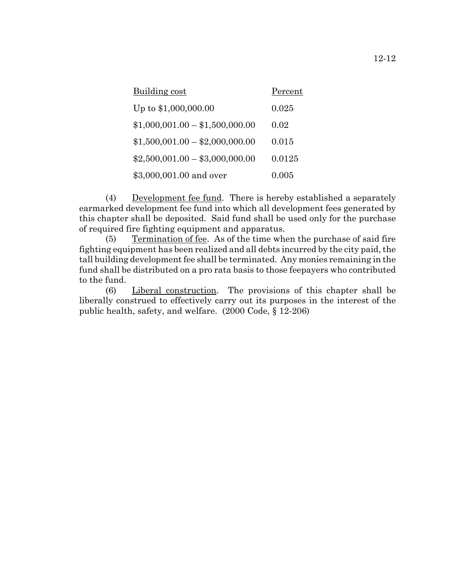| Building cost                   | Percent |
|---------------------------------|---------|
| Up to \$1,000,000.00            | 0.025   |
| $$1,000,001.00 - $1,500,000.00$ | 0.02    |
| $$1,500,001.00 - $2,000,000.00$ | 0.015   |
| $$2,500,001.00 - $3,000,000.00$ | 0.0125  |
| \$3,000,001.00 and over         | 0.005   |

(4) Development fee fund. There is hereby established a separately earmarked development fee fund into which all development fees generated by this chapter shall be deposited. Said fund shall be used only for the purchase of required fire fighting equipment and apparatus.

(5) Termination of fee. As of the time when the purchase of said fire fighting equipment has been realized and all debts incurred by the city paid, the tall building development fee shall be terminated. Any monies remaining in the fund shall be distributed on a pro rata basis to those feepayers who contributed to the fund.

(6) Liberal construction. The provisions of this chapter shall be liberally construed to effectively carry out its purposes in the interest of the public health, safety, and welfare. (2000 Code, § 12-206)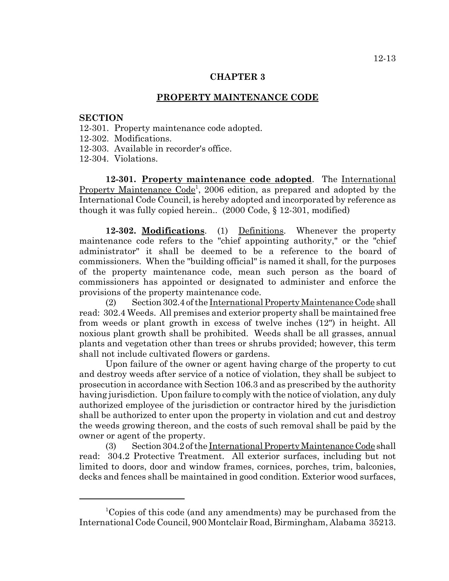#### **CHAPTER 3**

#### **PROPERTY MAINTENANCE CODE**

#### **SECTION**

- 12-301. Property maintenance code adopted.
- 12-302. Modifications.
- 12-303. Available in recorder's office.
- 12-304. Violations.

**12-301. Property maintenance code adopted**. The International Property Maintenance Code<sup>1</sup>, 2006 edition, as prepared and adopted by the International Code Council, is hereby adopted and incorporated by reference as though it was fully copied herein.. (2000 Code, § 12-301, modified)

**12-302. Modifications**. (1) Definitions. Whenever the property maintenance code refers to the "chief appointing authority," or the "chief administrator" it shall be deemed to be a reference to the board of commissioners. When the "building official" is named it shall, for the purposes of the property maintenance code, mean such person as the board of commissioners has appointed or designated to administer and enforce the provisions of the property maintenance code.

(2) Section 302.4 of the International Property Maintenance Code shall read: 302.4 Weeds. All premises and exterior property shall be maintained free from weeds or plant growth in excess of twelve inches (12") in height. All noxious plant growth shall be prohibited. Weeds shall be all grasses, annual plants and vegetation other than trees or shrubs provided; however, this term shall not include cultivated flowers or gardens.

Upon failure of the owner or agent having charge of the property to cut and destroy weeds after service of a notice of violation, they shall be subject to prosecution in accordance with Section 106.3 and as prescribed by the authority having jurisdiction. Upon failure to comply with the notice of violation, any duly authorized employee of the jurisdiction or contractor hired by the jurisdiction shall be authorized to enter upon the property in violation and cut and destroy the weeds growing thereon, and the costs of such removal shall be paid by the owner or agent of the property.

(3) Section 304.2 of the International Property Maintenance Code shall read: 304.2 Protective Treatment. All exterior surfaces, including but not limited to doors, door and window frames, cornices, porches, trim, balconies, decks and fences shall be maintained in good condition. Exterior wood surfaces,

<sup>&</sup>lt;sup>1</sup>Copies of this code (and any amendments) may be purchased from the International Code Council, 900 Montclair Road, Birmingham, Alabama 35213.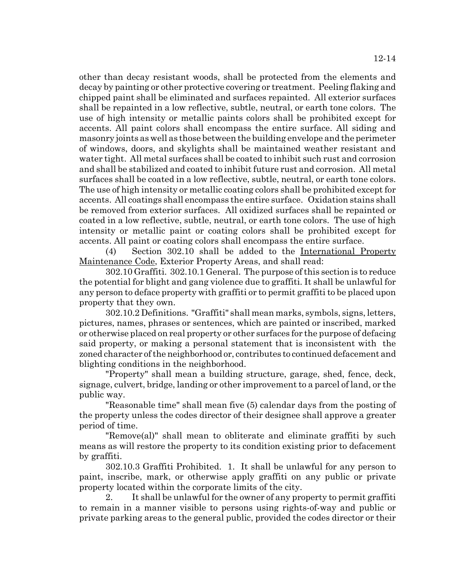other than decay resistant woods, shall be protected from the elements and decay by painting or other protective covering or treatment. Peeling flaking and chipped paint shall be eliminated and surfaces repainted. All exterior surfaces shall be repainted in a low reflective, subtle, neutral, or earth tone colors. The use of high intensity or metallic paints colors shall be prohibited except for accents. All paint colors shall encompass the entire surface. All siding and masonry joints as well as those between the building envelope and the perimeter of windows, doors, and skylights shall be maintained weather resistant and water tight. All metal surfaces shall be coated to inhibit such rust and corrosion and shall be stabilized and coated to inhibit future rust and corrosion. All metal surfaces shall be coated in a low reflective, subtle, neutral, or earth tone colors. The use of high intensity or metallic coating colors shall be prohibited except for accents. All coatings shall encompass the entire surface. Oxidation stains shall be removed from exterior surfaces. All oxidized surfaces shall be repainted or coated in a low reflective, subtle, neutral, or earth tone colors. The use of high intensity or metallic paint or coating colors shall be prohibited except for accents. All paint or coating colors shall encompass the entire surface.

(4) Section 302.10 shall be added to the International Property Maintenance Code, Exterior Property Areas, and shall read:

302.10 Graffiti. 302.10.1 General. The purpose of this section is to reduce the potential for blight and gang violence due to graffiti. It shall be unlawful for any person to deface property with graffiti or to permit graffiti to be placed upon property that they own.

302.10.2 Definitions. "Graffiti" shall mean marks, symbols, signs, letters, pictures, names, phrases or sentences, which are painted or inscribed, marked or otherwise placed on real property or other surfaces for the purpose of defacing said property, or making a personal statement that is inconsistent with the zoned character of the neighborhood or, contributes to continued defacement and blighting conditions in the neighborhood.

"Property" shall mean a building structure, garage, shed, fence, deck, signage, culvert, bridge, landing or other improvement to a parcel of land, or the public way.

"Reasonable time" shall mean five (5) calendar days from the posting of the property unless the codes director of their designee shall approve a greater period of time.

"Remove(al)" shall mean to obliterate and eliminate graffiti by such means as will restore the property to its condition existing prior to defacement by graffiti.

302.10.3 Graffiti Prohibited. 1. It shall be unlawful for any person to paint, inscribe, mark, or otherwise apply graffiti on any public or private property located within the corporate limits of the city.

2. It shall be unlawful for the owner of any property to permit graffiti to remain in a manner visible to persons using rights-of-way and public or private parking areas to the general public, provided the codes director or their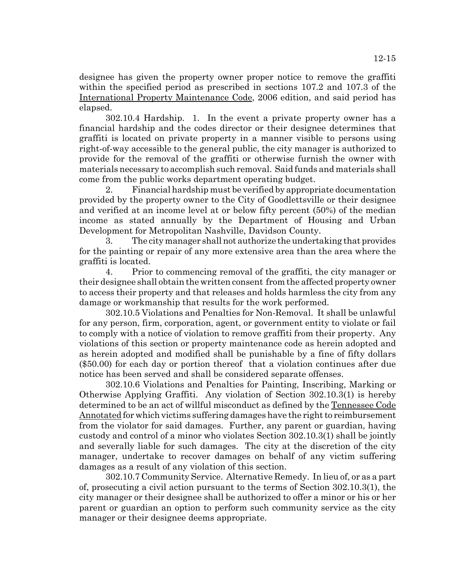designee has given the property owner proper notice to remove the graffiti within the specified period as prescribed in sections 107.2 and 107.3 of the International Property Maintenance Code, 2006 edition, and said period has elapsed.

302.10.4 Hardship. 1. In the event a private property owner has a financial hardship and the codes director or their designee determines that graffiti is located on private property in a manner visible to persons using right-of-way accessible to the general public, the city manager is authorized to provide for the removal of the graffiti or otherwise furnish the owner with materials necessary to accomplish such removal. Said funds and materials shall come from the public works department operating budget.

2. Financial hardship must be verified by appropriate documentation provided by the property owner to the City of Goodlettsville or their designee and verified at an income level at or below fifty percent (50%) of the median income as stated annually by the Department of Housing and Urban Development for Metropolitan Nashville, Davidson County.

3. The city manager shall not authorize the undertaking that provides for the painting or repair of any more extensive area than the area where the graffiti is located.

4. Prior to commencing removal of the graffiti, the city manager or their designee shall obtain the written consent from the affected property owner to access their property and that releases and holds harmless the city from any damage or workmanship that results for the work performed.

302.10.5 Violations and Penalties for Non-Removal. It shall be unlawful for any person, firm, corporation, agent, or government entity to violate or fail to comply with a notice of violation to remove graffiti from their property. Any violations of this section or property maintenance code as herein adopted and as herein adopted and modified shall be punishable by a fine of fifty dollars (\$50.00) for each day or portion thereof that a violation continues after due notice has been served and shall be considered separate offenses.

302.10.6 Violations and Penalties for Painting, Inscribing, Marking or Otherwise Applying Graffiti. Any violation of Section 302.10.3(1) is hereby determined to be an act of willful misconduct as defined by the Tennessee Code Annotated for which victims suffering damages have the right to reimbursement from the violator for said damages. Further, any parent or guardian, having custody and control of a minor who violates Section 302.10.3(1) shall be jointly and severally liable for such damages. The city at the discretion of the city manager, undertake to recover damages on behalf of any victim suffering damages as a result of any violation of this section.

302.10.7 Community Service. Alternative Remedy. In lieu of, or as a part of, prosecuting a civil action pursuant to the terms of Section 302.10.3(1), the city manager or their designee shall be authorized to offer a minor or his or her parent or guardian an option to perform such community service as the city manager or their designee deems appropriate.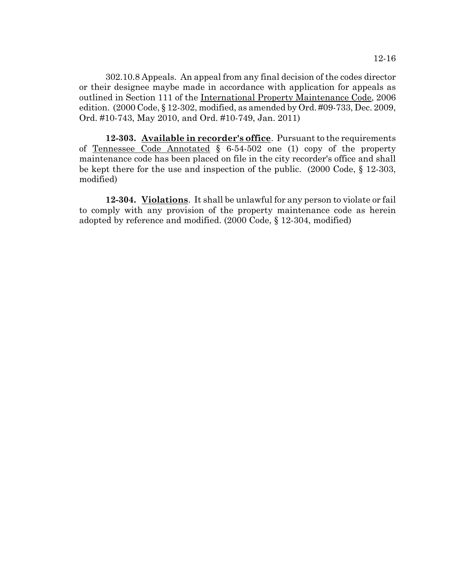302.10.8 Appeals. An appeal from any final decision of the codes director or their designee maybe made in accordance with application for appeals as outlined in Section 111 of the International Property Maintenance Code, 2006 edition. (2000 Code, § 12-302, modified, as amended by Ord. #09-733, Dec. 2009, Ord. #10-743, May 2010, and Ord. #10-749, Jan. 2011)

**12-303. Available in recorder's office**. Pursuant to the requirements of Tennessee Code Annotated § 6-54-502 one (1) copy of the property maintenance code has been placed on file in the city recorder's office and shall be kept there for the use and inspection of the public. (2000 Code, § 12-303, modified)

**12-304. Violations**. It shall be unlawful for any person to violate or fail to comply with any provision of the property maintenance code as herein adopted by reference and modified. (2000 Code, § 12-304, modified)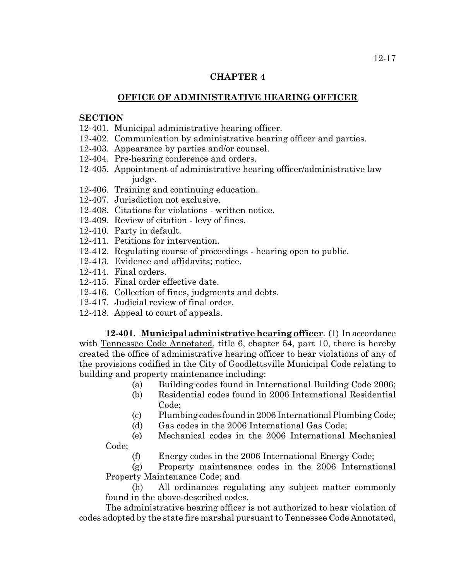## **CHAPTER 4**

# **OFFICE OF ADMINISTRATIVE HEARING OFFICER**

## **SECTION**

- 12-401. Municipal administrative hearing officer.
- 12-402. Communication by administrative hearing officer and parties.
- 12-403. Appearance by parties and/or counsel.
- 12-404. Pre-hearing conference and orders.
- 12-405. Appointment of administrative hearing officer/administrative law judge.
- 12-406. Training and continuing education.
- 12-407. Jurisdiction not exclusive.
- 12-408. Citations for violations written notice.
- 12-409. Review of citation levy of fines.
- 12-410. Party in default.
- 12-411. Petitions for intervention.
- 12-412. Regulating course of proceedings hearing open to public.
- 12-413. Evidence and affidavits; notice.
- 12-414. Final orders.
- 12-415. Final order effective date.
- 12-416. Collection of fines, judgments and debts.
- 12-417. Judicial review of final order.
- 12-418. Appeal to court of appeals.

**12-401. Municipal administrative hearing officer**. (1) In accordance with Tennessee Code Annotated, title 6, chapter 54, part 10, there is hereby created the office of administrative hearing officer to hear violations of any of the provisions codified in the City of Goodlettsville Municipal Code relating to building and property maintenance including:

- (a) Building codes found in International Building Code 2006;
- (b) Residential codes found in 2006 International Residential Code;
- (c) Plumbing codes found in 2006 International Plumbing Code;
- (d) Gas codes in the 2006 International Gas Code;
- (e) Mechanical codes in the 2006 International Mechanical Code;
	- (f) Energy codes in the 2006 International Energy Code;

(g) Property maintenance codes in the 2006 International Property Maintenance Code; and

(h) All ordinances regulating any subject matter commonly found in the above-described codes.

The administrative hearing officer is not authorized to hear violation of codes adopted by the state fire marshal pursuant to Tennessee Code Annotated,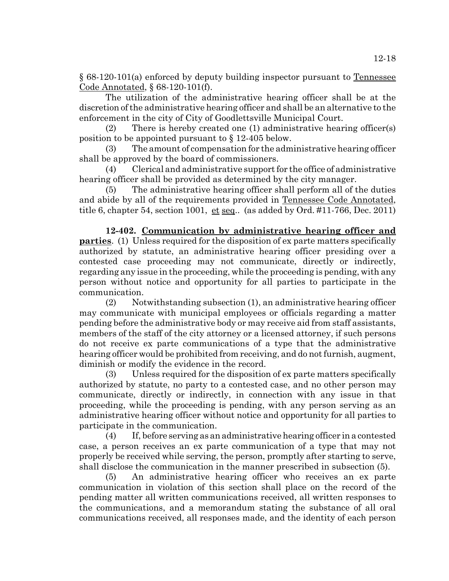§ 68-120-101(a) enforced by deputy building inspector pursuant to Tennessee Code Annotated, § 68-120-101(f).

The utilization of the administrative hearing officer shall be at the discretion of the administrative hearing officer and shall be an alternative to the enforcement in the city of City of Goodlettsville Municipal Court.

(2) There is hereby created one (1) administrative hearing officer(s) position to be appointed pursuant to § 12-405 below.

(3) The amount of compensation for the administrative hearing officer shall be approved by the board of commissioners.

(4) Clerical and administrative support for the office of administrative hearing officer shall be provided as determined by the city manager.

(5) The administrative hearing officer shall perform all of the duties and abide by all of the requirements provided in Tennessee Code Annotated, title 6, chapter 54, section 1001, et seq.. (as added by Ord. #11-766, Dec. 2011)

**12-402. Communication by administrative hearing officer and parties**. (1) Unless required for the disposition of ex parte matters specifically authorized by statute, an administrative hearing officer presiding over a contested case proceeding may not communicate, directly or indirectly, regarding any issue in the proceeding, while the proceeding is pending, with any person without notice and opportunity for all parties to participate in the communication.

(2) Notwithstanding subsection (1), an administrative hearing officer may communicate with municipal employees or officials regarding a matter pending before the administrative body or may receive aid from staff assistants, members of the staff of the city attorney or a licensed attorney, if such persons do not receive ex parte communications of a type that the administrative hearing officer would be prohibited from receiving, and do not furnish, augment, diminish or modify the evidence in the record.

(3) Unless required for the disposition of ex parte matters specifically authorized by statute, no party to a contested case, and no other person may communicate, directly or indirectly, in connection with any issue in that proceeding, while the proceeding is pending, with any person serving as an administrative hearing officer without notice and opportunity for all parties to participate in the communication.

(4) If, before serving as an administrative hearing officer in a contested case, a person receives an ex parte communication of a type that may not properly be received while serving, the person, promptly after starting to serve, shall disclose the communication in the manner prescribed in subsection (5).

(5) An administrative hearing officer who receives an ex parte communication in violation of this section shall place on the record of the pending matter all written communications received, all written responses to the communications, and a memorandum stating the substance of all oral communications received, all responses made, and the identity of each person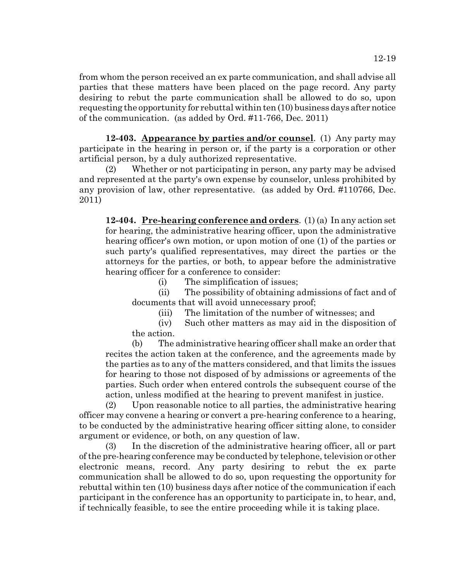from whom the person received an ex parte communication, and shall advise all parties that these matters have been placed on the page record. Any party desiring to rebut the parte communication shall be allowed to do so, upon requesting the opportunity for rebuttal within ten (10) business days after notice of the communication. (as added by Ord. #11-766, Dec. 2011)

**12-403. Appearance by parties and/or counsel**. (1) Any party may participate in the hearing in person or, if the party is a corporation or other artificial person, by a duly authorized representative.

(2) Whether or not participating in person, any party may be advised and represented at the party's own expense by counselor, unless prohibited by any provision of law, other representative. (as added by Ord. #110766, Dec. 2011)

**12-404. Pre-hearing conference and orders**. (1) (a) In any action set for hearing, the administrative hearing officer, upon the administrative hearing officer's own motion, or upon motion of one (1) of the parties or such party's qualified representatives, may direct the parties or the attorneys for the parties, or both, to appear before the administrative hearing officer for a conference to consider:

(i) The simplification of issues;

(ii) The possibility of obtaining admissions of fact and of documents that will avoid unnecessary proof;

(iii) The limitation of the number of witnesses; and

(iv) Such other matters as may aid in the disposition of the action.

(b) The administrative hearing officer shall make an order that recites the action taken at the conference, and the agreements made by the parties as to any of the matters considered, and that limits the issues for hearing to those not disposed of by admissions or agreements of the parties. Such order when entered controls the subsequent course of the action, unless modified at the hearing to prevent manifest in justice.

(2) Upon reasonable notice to all parties, the administrative hearing officer may convene a hearing or convert a pre-hearing conference to a hearing, to be conducted by the administrative hearing officer sitting alone, to consider argument or evidence, or both, on any question of law.

(3) In the discretion of the administrative hearing officer, all or part of the pre-hearing conference may be conducted by telephone, television or other electronic means, record. Any party desiring to rebut the ex parte communication shall be allowed to do so, upon requesting the opportunity for rebuttal within ten (10) business days after notice of the communication if each participant in the conference has an opportunity to participate in, to hear, and, if technically feasible, to see the entire proceeding while it is taking place.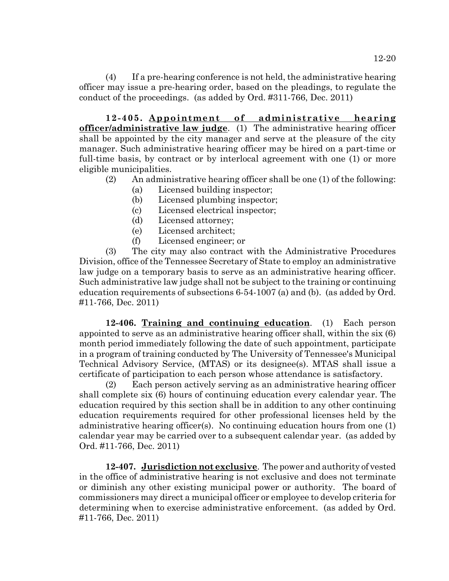12-20

(4) If a pre-hearing conference is not held, the administrative hearing officer may issue a pre-hearing order, based on the pleadings, to regulate the conduct of the proceedings. (as added by Ord. #311-766, Dec. 2011)

**12-405. Appointment of administrative hearing officer/administrative law judge**. (1) The administrative hearing officer shall be appointed by the city manager and serve at the pleasure of the city manager. Such administrative hearing officer may be hired on a part-time or full-time basis, by contract or by interlocal agreement with one (1) or more eligible municipalities.

- (2) An administrative hearing officer shall be one (1) of the following:
	- (a) Licensed building inspector;
	- (b) Licensed plumbing inspector;
	- (c) Licensed electrical inspector;
	- (d) Licensed attorney;
	- (e) Licensed architect;
	- (f) Licensed engineer; or

(3) The city may also contract with the Administrative Procedures Division, office of the Tennessee Secretary of State to employ an administrative law judge on a temporary basis to serve as an administrative hearing officer. Such administrative law judge shall not be subject to the training or continuing education requirements of subsections 6-54-1007 (a) and (b). (as added by Ord. #11-766, Dec. 2011)

**12-406. Training and continuing education**. (1) Each person appointed to serve as an administrative hearing officer shall, within the six (6) month period immediately following the date of such appointment, participate in a program of training conducted by The University of Tennessee's Municipal Technical Advisory Service, (MTAS) or its designee(s). MTAS shall issue a certificate of participation to each person whose attendance is satisfactory.

(2) Each person actively serving as an administrative hearing officer shall complete six (6) hours of continuing education every calendar year. The education required by this section shall be in addition to any other continuing education requirements required for other professional licenses held by the administrative hearing officer(s). No continuing education hours from one (1) calendar year may be carried over to a subsequent calendar year. (as added by Ord. #11-766, Dec. 2011)

**12-407. Jurisdiction not exclusive**. The power and authority of vested in the office of administrative hearing is not exclusive and does not terminate or diminish any other existing municipal power or authority. The board of commissioners may direct a municipal officer or employee to develop criteria for determining when to exercise administrative enforcement. (as added by Ord. #11-766, Dec. 2011)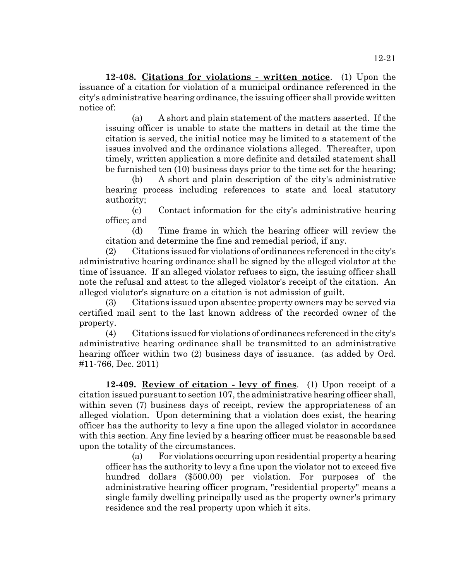**12-408. Citations for violations - written notice**. (1) Upon the issuance of a citation for violation of a municipal ordinance referenced in the city's administrative hearing ordinance, the issuing officer shall provide written notice of:

(a) A short and plain statement of the matters asserted. If the issuing officer is unable to state the matters in detail at the time the citation is served, the initial notice may be limited to a statement of the issues involved and the ordinance violations alleged. Thereafter, upon timely, written application a more definite and detailed statement shall be furnished ten (10) business days prior to the time set for the hearing;

(b) A short and plain description of the city's administrative hearing process including references to state and local statutory authority;

(c) Contact information for the city's administrative hearing office; and

(d) Time frame in which the hearing officer will review the citation and determine the fine and remedial period, if any.

(2) Citations issued for violations of ordinances referenced in the city's administrative hearing ordinance shall be signed by the alleged violator at the time of issuance. If an alleged violator refuses to sign, the issuing officer shall note the refusal and attest to the alleged violator's receipt of the citation. An alleged violator's signature on a citation is not admission of guilt.

(3) Citations issued upon absentee property owners may be served via certified mail sent to the last known address of the recorded owner of the property.

(4) Citations issued for violations of ordinances referenced in the city's administrative hearing ordinance shall be transmitted to an administrative hearing officer within two (2) business days of issuance. (as added by Ord. #11-766, Dec. 2011)

**12-409. Review of citation - levy of fines**. (1) Upon receipt of a citation issued pursuant to section 107, the administrative hearing officer shall, within seven (7) business days of receipt, review the appropriateness of an alleged violation. Upon determining that a violation does exist, the hearing officer has the authority to levy a fine upon the alleged violator in accordance with this section. Any fine levied by a hearing officer must be reasonable based upon the totality of the circumstances.

(a) For violations occurring upon residential property a hearing officer has the authority to levy a fine upon the violator not to exceed five hundred dollars (\$500.00) per violation. For purposes of the administrative hearing officer program, "residential property" means a single family dwelling principally used as the property owner's primary residence and the real property upon which it sits.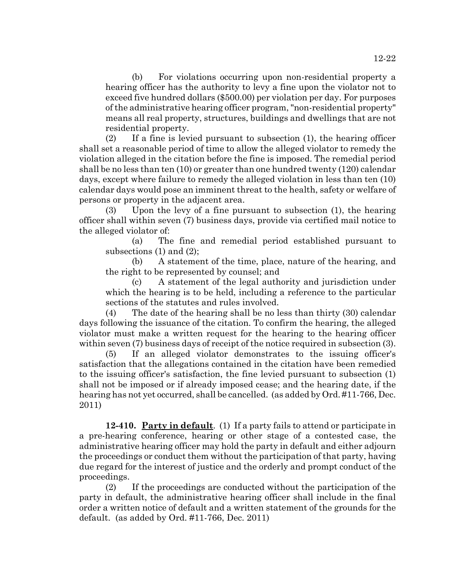(b) For violations occurring upon non-residential property a hearing officer has the authority to levy a fine upon the violator not to exceed five hundred dollars (\$500.00) per violation per day. For purposes of the administrative hearing officer program, "non-residential property" means all real property, structures, buildings and dwellings that are not residential property.

(2) If a fine is levied pursuant to subsection (1), the hearing officer shall set a reasonable period of time to allow the alleged violator to remedy the violation alleged in the citation before the fine is imposed. The remedial period shall be no less than ten (10) or greater than one hundred twenty (120) calendar days, except where failure to remedy the alleged violation in less than ten (10) calendar days would pose an imminent threat to the health, safety or welfare of persons or property in the adjacent area.

(3) Upon the levy of a fine pursuant to subsection (1), the hearing officer shall within seven (7) business days, provide via certified mail notice to the alleged violator of:

(a) The fine and remedial period established pursuant to subsections (1) and (2);

(b) A statement of the time, place, nature of the hearing, and the right to be represented by counsel; and

(c) A statement of the legal authority and jurisdiction under which the hearing is to be held, including a reference to the particular sections of the statutes and rules involved.

(4) The date of the hearing shall be no less than thirty (30) calendar days following the issuance of the citation. To confirm the hearing, the alleged violator must make a written request for the hearing to the hearing officer within seven (7) business days of receipt of the notice required in subsection (3).

(5) If an alleged violator demonstrates to the issuing officer's satisfaction that the allegations contained in the citation have been remedied to the issuing officer's satisfaction, the fine levied pursuant to subsection (1) shall not be imposed or if already imposed cease; and the hearing date, if the hearing has not yet occurred, shall be cancelled. (as added by Ord. #11-766, Dec. 2011)

**12-410. Party in default**. (1) If a party fails to attend or participate in a pre-hearing conference, hearing or other stage of a contested case, the administrative hearing officer may hold the party in default and either adjourn the proceedings or conduct them without the participation of that party, having due regard for the interest of justice and the orderly and prompt conduct of the proceedings.

(2) If the proceedings are conducted without the participation of the party in default, the administrative hearing officer shall include in the final order a written notice of default and a written statement of the grounds for the default. (as added by Ord. #11-766, Dec. 2011)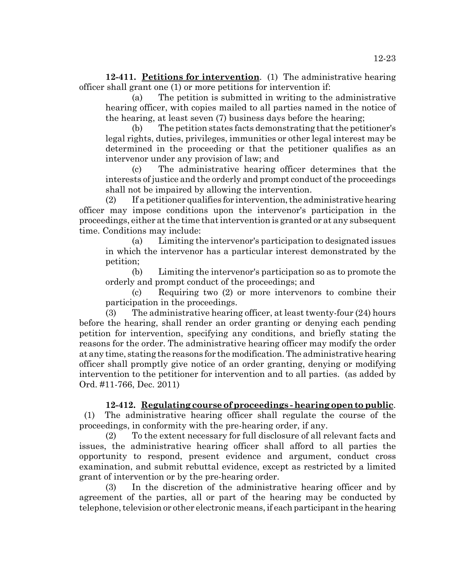**12-411. Petitions for intervention**. (1) The administrative hearing officer shall grant one (1) or more petitions for intervention if:

(a) The petition is submitted in writing to the administrative hearing officer, with copies mailed to all parties named in the notice of the hearing, at least seven (7) business days before the hearing;

(b) The petition states facts demonstrating that the petitioner's legal rights, duties, privileges, immunities or other legal interest may be determined in the proceeding or that the petitioner qualifies as an intervenor under any provision of law; and

(c) The administrative hearing officer determines that the interests of justice and the orderly and prompt conduct of the proceedings shall not be impaired by allowing the intervention.

(2) If a petitioner qualifies for intervention, the administrative hearing officer may impose conditions upon the intervenor's participation in the proceedings, either at the time that intervention is granted or at any subsequent time. Conditions may include:

(a) Limiting the intervenor's participation to designated issues in which the intervenor has a particular interest demonstrated by the petition;

(b) Limiting the intervenor's participation so as to promote the orderly and prompt conduct of the proceedings; and

(c) Requiring two (2) or more intervenors to combine their participation in the proceedings.

(3) The administrative hearing officer, at least twenty-four (24) hours before the hearing, shall render an order granting or denying each pending petition for intervention, specifying any conditions, and briefly stating the reasons for the order. The administrative hearing officer may modify the order at any time, stating the reasons for the modification. The administrative hearing officer shall promptly give notice of an order granting, denying or modifying intervention to the petitioner for intervention and to all parties. (as added by Ord. #11-766, Dec. 2011)

# **12-412. Regulating course of proceedings - hearing open to public**.

 (1) The administrative hearing officer shall regulate the course of the proceedings, in conformity with the pre-hearing order, if any.

(2) To the extent necessary for full disclosure of all relevant facts and issues, the administrative hearing officer shall afford to all parties the opportunity to respond, present evidence and argument, conduct cross examination, and submit rebuttal evidence, except as restricted by a limited grant of intervention or by the pre-hearing order.

(3) In the discretion of the administrative hearing officer and by agreement of the parties, all or part of the hearing may be conducted by telephone, television or other electronic means, if each participant in the hearing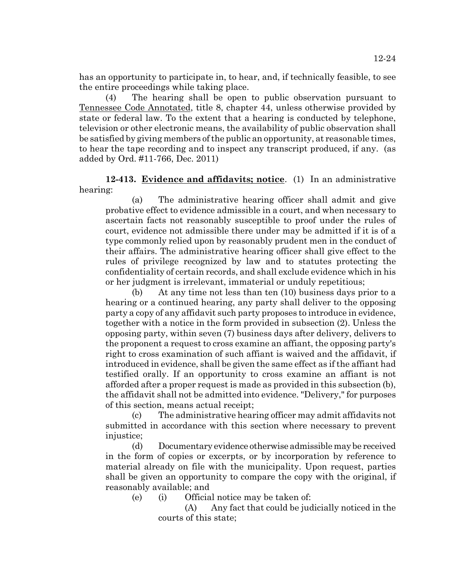has an opportunity to participate in, to hear, and, if technically feasible, to see the entire proceedings while taking place.

(4) The hearing shall be open to public observation pursuant to Tennessee Code Annotated, title 8, chapter 44, unless otherwise provided by state or federal law. To the extent that a hearing is conducted by telephone, television or other electronic means, the availability of public observation shall be satisfied by giving members of the public an opportunity, at reasonable times, to hear the tape recording and to inspect any transcript produced, if any. (as added by Ord. #11-766, Dec. 2011)

**12-413. Evidence and affidavits; notice**. (1) In an administrative hearing:

(a) The administrative hearing officer shall admit and give probative effect to evidence admissible in a court, and when necessary to ascertain facts not reasonably susceptible to proof under the rules of court, evidence not admissible there under may be admitted if it is of a type commonly relied upon by reasonably prudent men in the conduct of their affairs. The administrative hearing officer shall give effect to the rules of privilege recognized by law and to statutes protecting the confidentiality of certain records, and shall exclude evidence which in his or her judgment is irrelevant, immaterial or unduly repetitious;

(b) At any time not less than ten (10) business days prior to a hearing or a continued hearing, any party shall deliver to the opposing party a copy of any affidavit such party proposes to introduce in evidence, together with a notice in the form provided in subsection (2). Unless the opposing party, within seven (7) business days after delivery, delivers to the proponent a request to cross examine an affiant, the opposing party's right to cross examination of such affiant is waived and the affidavit, if introduced in evidence, shall be given the same effect as if the affiant had testified orally. If an opportunity to cross examine an affiant is not afforded after a proper request is made as provided in this subsection (b), the affidavit shall not be admitted into evidence. "Delivery," for purposes of this section, means actual receipt;

(c) The administrative hearing officer may admit affidavits not submitted in accordance with this section where necessary to prevent injustice;

(d) Documentary evidence otherwise admissible may be received in the form of copies or excerpts, or by incorporation by reference to material already on file with the municipality. Upon request, parties shall be given an opportunity to compare the copy with the original, if reasonably available; and

(e) (i) Official notice may be taken of:

(A) Any fact that could be judicially noticed in the courts of this state;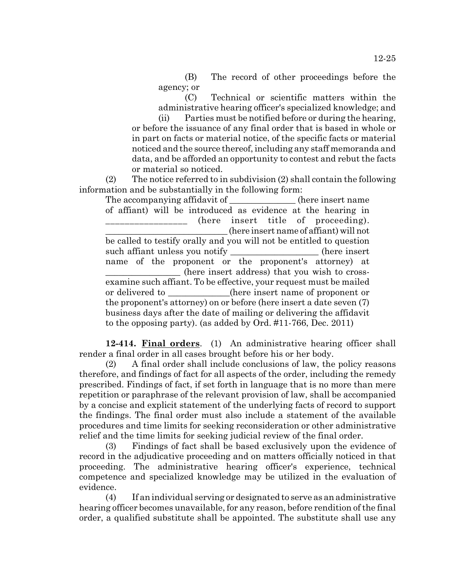(B) The record of other proceedings before the agency; or

(C) Technical or scientific matters within the administrative hearing officer's specialized knowledge; and

(ii) Parties must be notified before or during the hearing, or before the issuance of any final order that is based in whole or in part on facts or material notice, of the specific facts or material noticed and the source thereof, including any staff memoranda and data, and be afforded an opportunity to contest and rebut the facts or material so noticed.

(2) The notice referred to in subdivision (2) shall contain the following information and be substantially in the following form:

The accompanying affidavit of the second operation of the second of  $\alpha$  (here insert name of affiant) will be introduced as evidence at the hearing in \_\_\_\_\_\_\_\_\_\_\_\_\_\_\_\_\_ (here insert title of proceeding). \_\_\_\_\_\_\_\_\_\_\_\_\_\_\_\_\_\_\_\_\_\_\_\_\_\_\_\_ (here insert name of affiant) will not be called to testify orally and you will not be entitled to question such affiant unless you notify \_\_\_\_\_\_\_\_\_\_\_\_\_\_\_\_\_\_(here insert name of the proponent or the proponent's attorney) at \_\_\_\_\_\_\_\_\_\_\_\_\_\_\_\_\_ (here insert address) that you wish to crossexamine such affiant. To be effective, your request must be mailed or delivered to \_\_\_\_\_\_\_\_\_\_\_\_\_\_(here insert name of proponent or the proponent's attorney) on or before (here insert a date seven (7) business days after the date of mailing or delivering the affidavit to the opposing party). (as added by Ord. #11-766, Dec. 2011)

**12-414. Final orders**. (1) An administrative hearing officer shall render a final order in all cases brought before his or her body.

(2) A final order shall include conclusions of law, the policy reasons therefore, and findings of fact for all aspects of the order, including the remedy prescribed. Findings of fact, if set forth in language that is no more than mere repetition or paraphrase of the relevant provision of law, shall be accompanied by a concise and explicit statement of the underlying facts of record to support the findings. The final order must also include a statement of the available procedures and time limits for seeking reconsideration or other administrative relief and the time limits for seeking judicial review of the final order.

(3) Findings of fact shall be based exclusively upon the evidence of record in the adjudicative proceeding and on matters officially noticed in that proceeding. The administrative hearing officer's experience, technical competence and specialized knowledge may be utilized in the evaluation of evidence.

(4) If an individual serving or designated to serve as an administrative hearing officer becomes unavailable, for any reason, before rendition of the final order, a qualified substitute shall be appointed. The substitute shall use any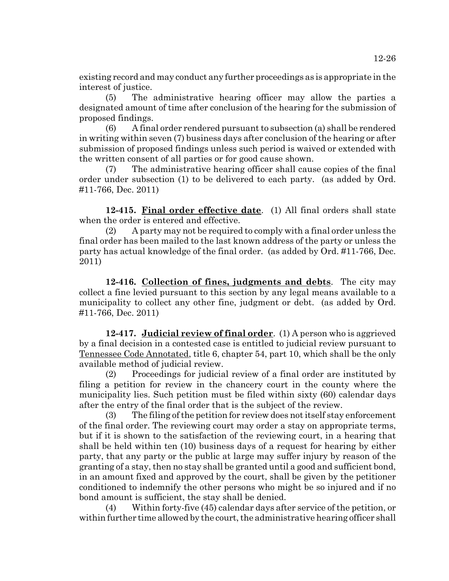existing record and may conduct any further proceedings as is appropriate in the interest of justice.

(5) The administrative hearing officer may allow the parties a designated amount of time after conclusion of the hearing for the submission of proposed findings.

(6) A final order rendered pursuant to subsection (a) shall be rendered in writing within seven (7) business days after conclusion of the hearing or after submission of proposed findings unless such period is waived or extended with the written consent of all parties or for good cause shown.

(7) The administrative hearing officer shall cause copies of the final order under subsection (1) to be delivered to each party. (as added by Ord. #11-766, Dec. 2011)

**12-415. Final order effective date**. (1) All final orders shall state when the order is entered and effective.

(2) A party may not be required to comply with a final order unless the final order has been mailed to the last known address of the party or unless the party has actual knowledge of the final order. (as added by Ord. #11-766, Dec. 2011)

**12-416. Collection of fines, judgments and debts**. The city may collect a fine levied pursuant to this section by any legal means available to a municipality to collect any other fine, judgment or debt. (as added by Ord. #11-766, Dec. 2011)

**12-417. Judicial review of final order**. (1) A person who is aggrieved by a final decision in a contested case is entitled to judicial review pursuant to Tennessee Code Annotated, title 6, chapter 54, part 10, which shall be the only available method of judicial review.

(2) Proceedings for judicial review of a final order are instituted by filing a petition for review in the chancery court in the county where the municipality lies. Such petition must be filed within sixty (60) calendar days after the entry of the final order that is the subject of the review.

(3) The filing of the petition for review does not itself stay enforcement of the final order. The reviewing court may order a stay on appropriate terms, but if it is shown to the satisfaction of the reviewing court, in a hearing that shall be held within ten (10) business days of a request for hearing by either party, that any party or the public at large may suffer injury by reason of the granting of a stay, then no stay shall be granted until a good and sufficient bond, in an amount fixed and approved by the court, shall be given by the petitioner conditioned to indemnify the other persons who might be so injured and if no bond amount is sufficient, the stay shall be denied.

(4) Within forty-five (45) calendar days after service of the petition, or within further time allowed by the court, the administrative hearing officer shall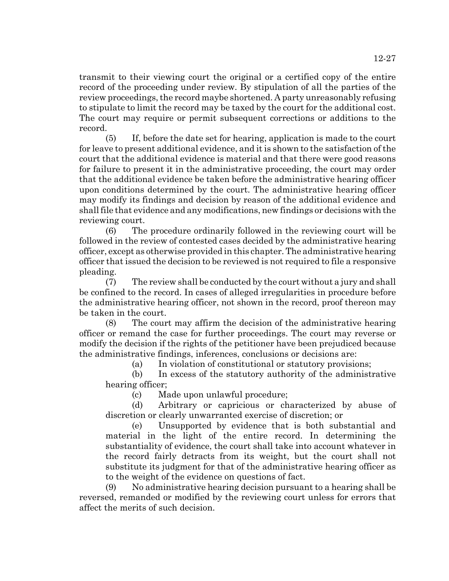transmit to their viewing court the original or a certified copy of the entire record of the proceeding under review. By stipulation of all the parties of the review proceedings, the record maybe shortened. A party unreasonably refusing to stipulate to limit the record may be taxed by the court for the additional cost. The court may require or permit subsequent corrections or additions to the record.

(5) If, before the date set for hearing, application is made to the court for leave to present additional evidence, and it is shown to the satisfaction of the court that the additional evidence is material and that there were good reasons for failure to present it in the administrative proceeding, the court may order that the additional evidence be taken before the administrative hearing officer upon conditions determined by the court. The administrative hearing officer may modify its findings and decision by reason of the additional evidence and shall file that evidence and any modifications, new findings or decisions with the reviewing court.

(6) The procedure ordinarily followed in the reviewing court will be followed in the review of contested cases decided by the administrative hearing officer, except as otherwise provided in this chapter. The administrative hearing officer that issued the decision to be reviewed is not required to file a responsive pleading.

(7) The review shall be conducted by the court without a jury and shall be confined to the record. In cases of alleged irregularities in procedure before the administrative hearing officer, not shown in the record, proof thereon may be taken in the court.

(8) The court may affirm the decision of the administrative hearing officer or remand the case for further proceedings. The court may reverse or modify the decision if the rights of the petitioner have been prejudiced because the administrative findings, inferences, conclusions or decisions are:

(a) In violation of constitutional or statutory provisions;

(b) In excess of the statutory authority of the administrative hearing officer;

(c) Made upon unlawful procedure;

(d) Arbitrary or capricious or characterized by abuse of discretion or clearly unwarranted exercise of discretion; or

(e) Unsupported by evidence that is both substantial and material in the light of the entire record. In determining the substantiality of evidence, the court shall take into account whatever in the record fairly detracts from its weight, but the court shall not substitute its judgment for that of the administrative hearing officer as to the weight of the evidence on questions of fact.

(9) No administrative hearing decision pursuant to a hearing shall be reversed, remanded or modified by the reviewing court unless for errors that affect the merits of such decision.